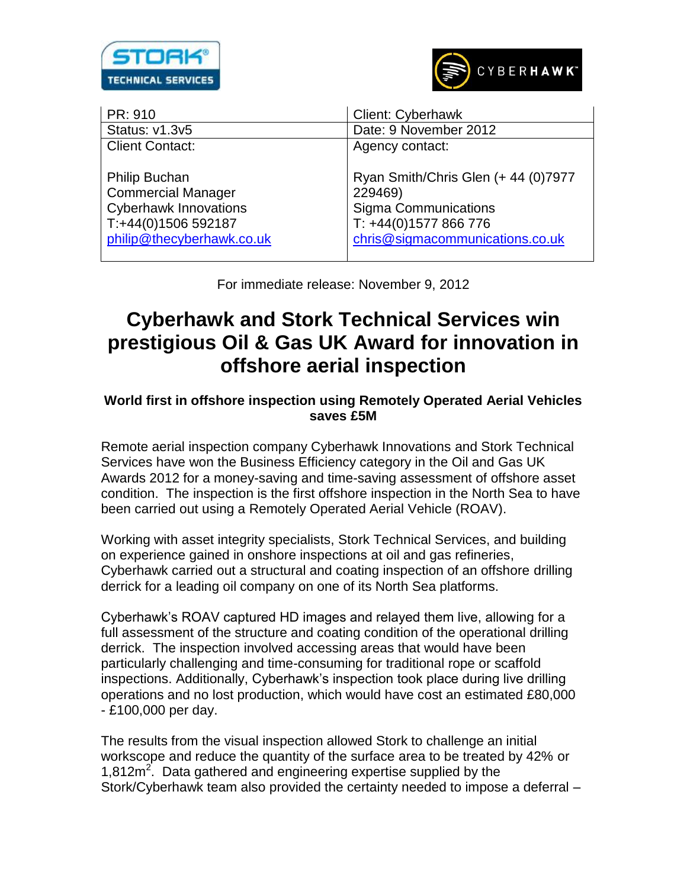



Client Contact:

Philip Buchan Commercial Manager Cyberhawk Innovations T:+44(0)1506 592187 [philip@thecyberhawk.co.uk](mailto:philip@thecyberhawk.co.uk)

PR: 910 Client: Cyberhawk Status: v1.3v5 | Date: 9 November 2012 Agency contact:

> Ryan Smith/Chris Glen (+ 44 (0)7977 229469) Sigma Communications T: +44(0)1577 866 776 [chris@sigmacommunications.co.uk](mailto:chris@sigmacommunications.co.uk)

For immediate release: November 9, 2012

# **Cyberhawk and Stork Technical Services win prestigious Oil & Gas UK Award for innovation in offshore aerial inspection**

## **World first in offshore inspection using Remotely Operated Aerial Vehicles saves £5M**

Remote aerial inspection company Cyberhawk Innovations and Stork Technical Services have won the Business Efficiency category in the Oil and Gas UK Awards 2012 for a money-saving and time-saving assessment of offshore asset condition. The inspection is the first offshore inspection in the North Sea to have been carried out using a Remotely Operated Aerial Vehicle (ROAV).

Working with asset integrity specialists, Stork Technical Services, and building on experience gained in onshore inspections at oil and gas refineries, Cyberhawk carried out a structural and coating inspection of an offshore drilling derrick for a leading oil company on one of its North Sea platforms.

Cyberhawk's ROAV captured HD images and relayed them live, allowing for a full assessment of the structure and coating condition of the operational drilling derrick. The inspection involved accessing areas that would have been particularly challenging and time-consuming for traditional rope or scaffold inspections. Additionally, Cyberhawk's inspection took place during live drilling operations and no lost production, which would have cost an estimated £80,000 - £100,000 per day.

The results from the visual inspection allowed Stork to challenge an initial workscope and reduce the quantity of the surface area to be treated by 42% or 1,812m<sup>2</sup>. Data gathered and engineering expertise supplied by the Stork/Cyberhawk team also provided the certainty needed to impose a deferral –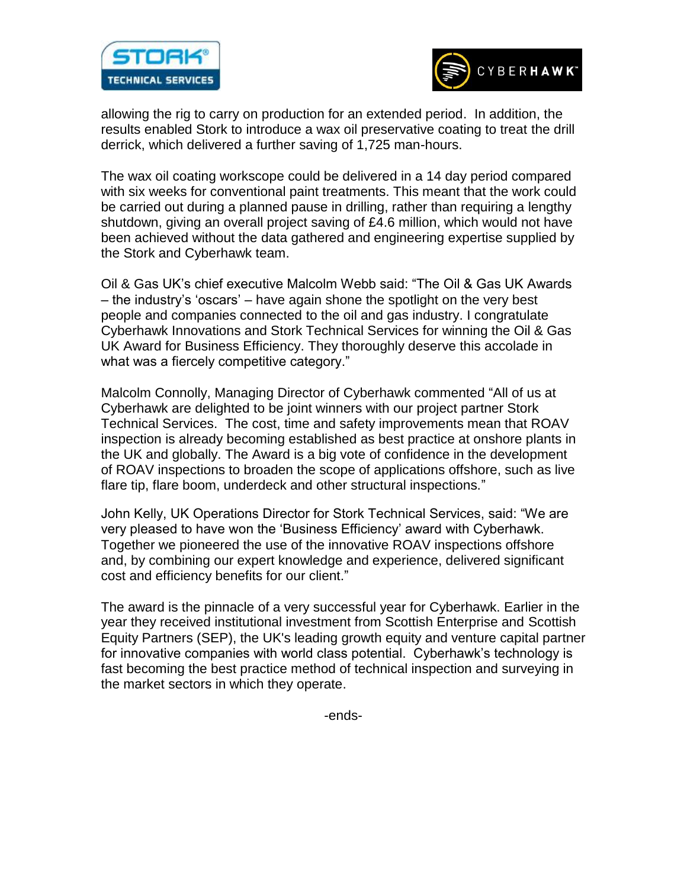



allowing the rig to carry on production for an extended period. In addition, the results enabled Stork to introduce a wax oil preservative coating to treat the drill derrick, which delivered a further saving of 1,725 man-hours.

The wax oil coating workscope could be delivered in a 14 day period compared with six weeks for conventional paint treatments. This meant that the work could be carried out during a planned pause in drilling, rather than requiring a lengthy shutdown, giving an overall project saving of £4.6 million, which would not have been achieved without the data gathered and engineering expertise supplied by the Stork and Cyberhawk team.

Oil & Gas UK's chief executive Malcolm Webb said: "The Oil & Gas UK Awards – the industry's 'oscars' – have again shone the spotlight on the very best people and companies connected to the oil and gas industry. I congratulate Cyberhawk Innovations and Stork Technical Services for winning the Oil & Gas UK Award for Business Efficiency. They thoroughly deserve this accolade in what was a fiercely competitive category."

Malcolm Connolly, Managing Director of Cyberhawk commented "All of us at Cyberhawk are delighted to be joint winners with our project partner Stork Technical Services. The cost, time and safety improvements mean that ROAV inspection is already becoming established as best practice at onshore plants in the UK and globally. The Award is a big vote of confidence in the development of ROAV inspections to broaden the scope of applications offshore, such as live flare tip, flare boom, underdeck and other structural inspections."

John Kelly, UK Operations Director for Stork Technical Services, said: "We are very pleased to have won the 'Business Efficiency' award with Cyberhawk. Together we pioneered the use of the innovative ROAV inspections offshore and, by combining our expert knowledge and experience, delivered significant cost and efficiency benefits for our client."

The award is the pinnacle of a very successful year for Cyberhawk. Earlier in the year they received institutional investment from Scottish Enterprise and Scottish Equity Partners (SEP), the UK's leading growth equity and venture capital partner for innovative companies with world class potential. Cyberhawk's technology is fast becoming the best practice method of technical inspection and surveying in the market sectors in which they operate.

-ends-